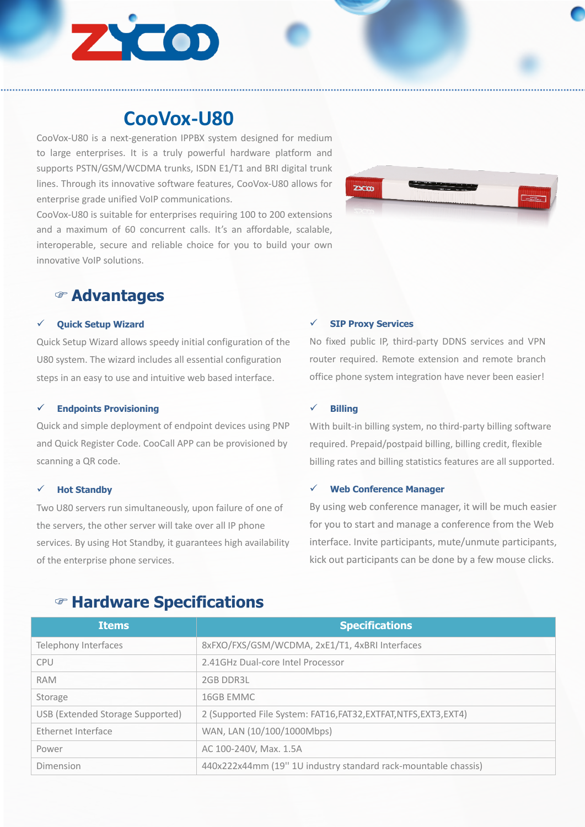

# **CooVox-U80**

CooVox-U80 is a next-generation IPPBX system designed for medium to large enterprises. It is a truly powerful hardware platform and supports PSTN/GSM/WCDMA trunks, ISDN E1/T1 and BRI digital trunk lines. Through its innovative software features, CooVox-U80 allows for enterprise grade unified VoIP communications.

CooVox-U80 is suitable for enterprises requiring 100 to 200 extensions and a maximum of 60 concurrent calls. It's an affordable, scalable, interoperable, secure and reliable choice for you to build your own innovative VoIP solutions.



### F **Advantages**

#### ü **Quick Setup Wizard**

Quick Setup Wizard allows speedy initial configuration of the U80 system. The wizard includes all essential configuration steps in an easy to use and intuitive web based interface.

#### ü **Endpoints Provisioning**

Quick and simple deployment of endpoint devices using PNP and Quick Register Code. CooCall APP can be provisioned by scanning a QR code.

#### **Hot Standby**

Two U80 servers run simultaneously, upon failure of one of the servers, the other server will take over all IP phone services. By using Hot Standby, it guarantees high availability of the enterprise phone services.

#### ü **SIP Proxy Services**

No fixed public IP, third-party DDNS services and VPN router required. Remote extension and remote branch office phone system integration have never been easier!

#### ü **Billing**

With built-in billing system, no third-party billing software required. Prepaid/postpaid billing, billing credit, flexible billing rates and billing statistics features are all supported.

#### ü **Web Conference Manager**

By using web conference manager, it will be much easier for you to start and manage a conference from the Web interface. Invite participants, mute/unmute participants, kick out participants can be done by a few mouse clicks.

| <b>Items</b>                     | <b>Specifications</b>                                             |
|----------------------------------|-------------------------------------------------------------------|
| Telephony Interfaces             | 8xFXO/FXS/GSM/WCDMA, 2xE1/T1, 4xBRI Interfaces                    |
| <b>CPU</b>                       | 2.41GHz Dual-core Intel Processor                                 |
| <b>RAM</b>                       | 2GB DDR3L                                                         |
| Storage                          | 16GB EMMC                                                         |
| USB (Extended Storage Supported) | 2 (Supported File System: FAT16, FAT32, EXTFAT, NTFS, EXT3, EXT4) |
| Ethernet Interface               | WAN, LAN (10/100/1000Mbps)                                        |
| Power                            | AC 100-240V, Max. 1.5A                                            |
| Dimension                        | 440x222x44mm (19" 1U industry standard rack-mountable chassis)    |

## F **Hardware Specifications**